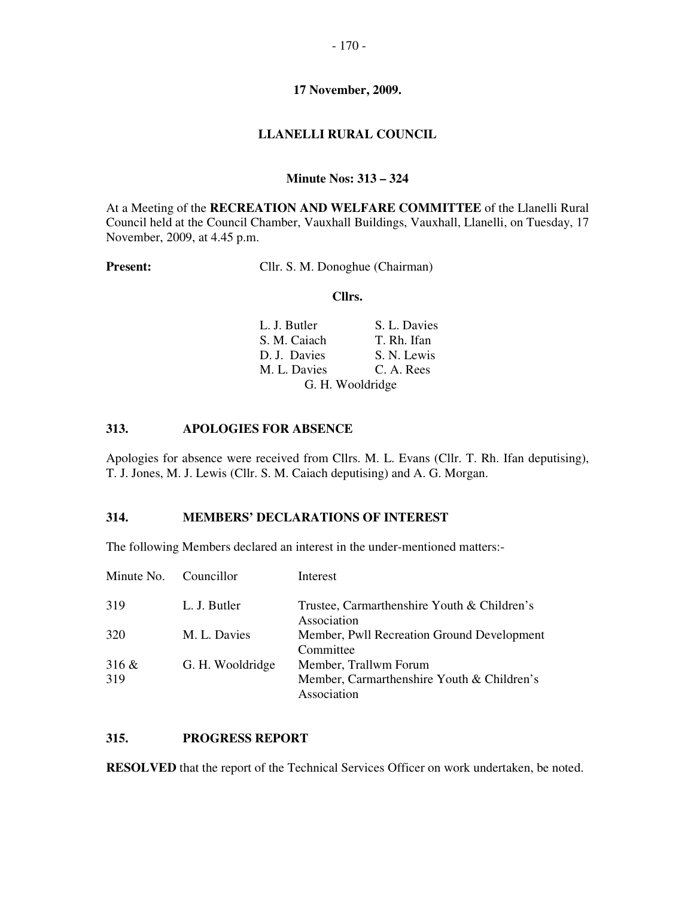#### **LLANELLI RURAL COUNCIL**

#### **Minute Nos: 313 – 324**

At a Meeting of the **RECREATION AND WELFARE COMMITTEE** of the Llanelli Rural Council held at the Council Chamber, Vauxhall Buildings, Vauxhall, Llanelli, on Tuesday, 17 November, 2009, at 4.45 p.m.

Present: Cllr. S. M. Donoghue (Chairman)

#### **Cllrs.**

| L. J. Butler | S. L. Davies     |  |
|--------------|------------------|--|
| S. M. Caiach | T. Rh. Ifan      |  |
| D. J. Davies | S. N. Lewis      |  |
| M. L. Davies | C. A. Rees       |  |
|              | G. H. Wooldridge |  |

#### **313. APOLOGIES FOR ABSENCE**

Apologies for absence were received from Cllrs. M. L. Evans (Cllr. T. Rh. Ifan deputising), T. J. Jones, M. J. Lewis (Cllr. S. M. Caiach deputising) and A. G. Morgan.

#### **314. MEMBERS' DECLARATIONS OF INTEREST**

The following Members declared an interest in the under-mentioned matters:-

| Minute No. Councillor |                  | Interest                                                                           |
|-----------------------|------------------|------------------------------------------------------------------------------------|
| 319                   | L. J. Butler     | Trustee, Carmarthenshire Youth & Children's<br>Association                         |
| 320                   | M. L. Davies     | Member, Pwll Recreation Ground Development<br>Committee                            |
| $316 \&$<br>319       | G. H. Wooldridge | Member, Trallwm Forum<br>Member, Carmarthenshire Youth & Children's<br>Association |

## **315. PROGRESS REPORT**

**RESOLVED** that the report of the Technical Services Officer on work undertaken, be noted.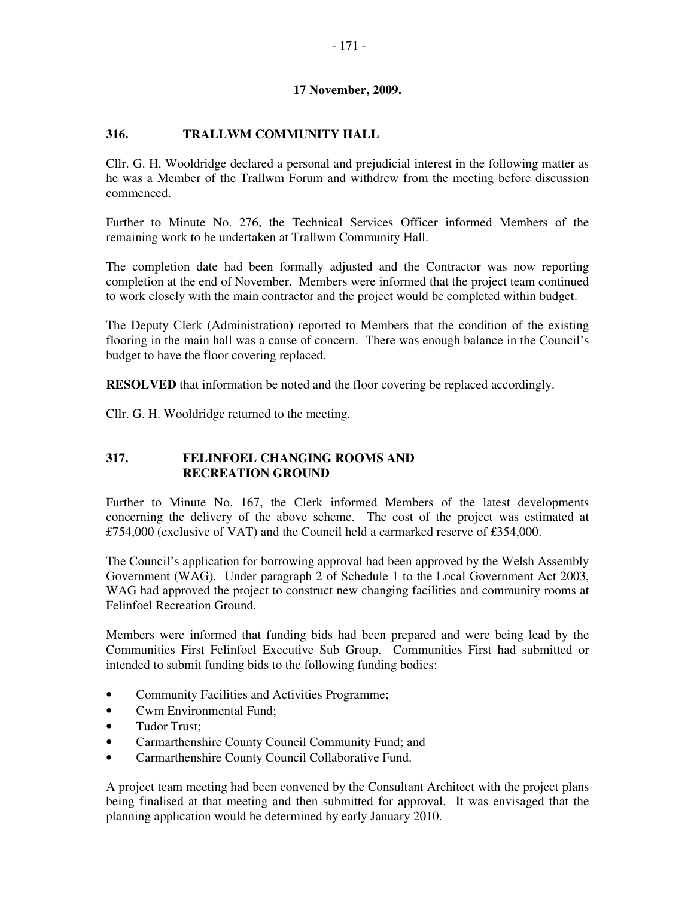## **316. TRALLWM COMMUNITY HALL**

Cllr. G. H. Wooldridge declared a personal and prejudicial interest in the following matter as he was a Member of the Trallwm Forum and withdrew from the meeting before discussion commenced.

Further to Minute No. 276, the Technical Services Officer informed Members of the remaining work to be undertaken at Trallwm Community Hall.

The completion date had been formally adjusted and the Contractor was now reporting completion at the end of November. Members were informed that the project team continued to work closely with the main contractor and the project would be completed within budget.

The Deputy Clerk (Administration) reported to Members that the condition of the existing flooring in the main hall was a cause of concern. There was enough balance in the Council's budget to have the floor covering replaced.

**RESOLVED** that information be noted and the floor covering be replaced accordingly.

Cllr. G. H. Wooldridge returned to the meeting.

## **317. FELINFOEL CHANGING ROOMS AND RECREATION GROUND**

Further to Minute No. 167, the Clerk informed Members of the latest developments concerning the delivery of the above scheme. The cost of the project was estimated at £754,000 (exclusive of VAT) and the Council held a earmarked reserve of £354,000.

The Council's application for borrowing approval had been approved by the Welsh Assembly Government (WAG). Under paragraph 2 of Schedule 1 to the Local Government Act 2003, WAG had approved the project to construct new changing facilities and community rooms at Felinfoel Recreation Ground.

Members were informed that funding bids had been prepared and were being lead by the Communities First Felinfoel Executive Sub Group. Communities First had submitted or intended to submit funding bids to the following funding bodies:

- Community Facilities and Activities Programme;
- Cwm Environmental Fund;
- Tudor Trust;
- Carmarthenshire County Council Community Fund; and
- Carmarthenshire County Council Collaborative Fund.

A project team meeting had been convened by the Consultant Architect with the project plans being finalised at that meeting and then submitted for approval. It was envisaged that the planning application would be determined by early January 2010.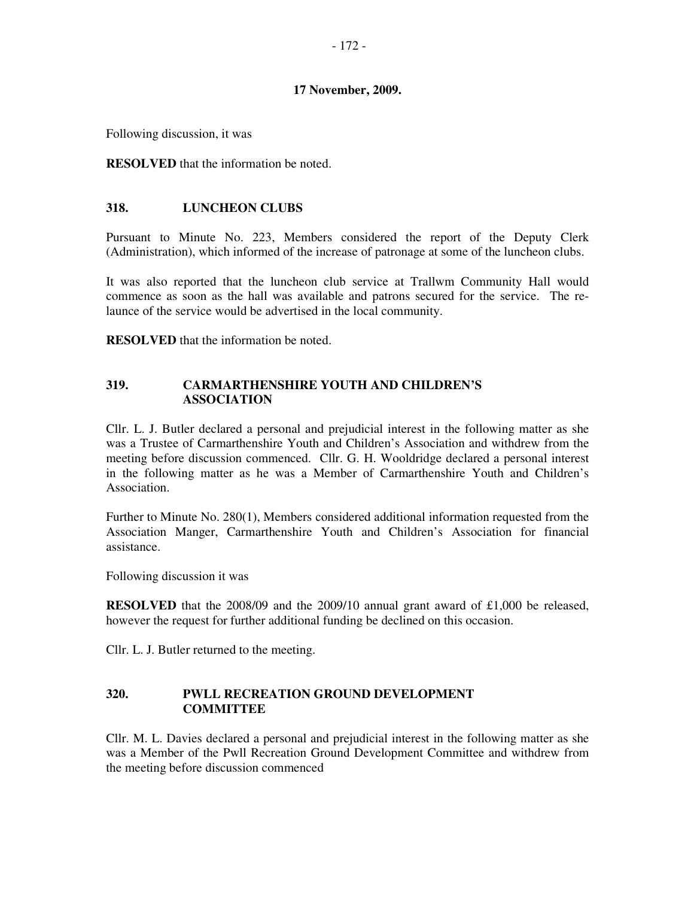Following discussion, it was

**RESOLVED** that the information be noted.

### **318. LUNCHEON CLUBS**

Pursuant to Minute No. 223, Members considered the report of the Deputy Clerk (Administration), which informed of the increase of patronage at some of the luncheon clubs.

It was also reported that the luncheon club service at Trallwm Community Hall would commence as soon as the hall was available and patrons secured for the service. The relaunce of the service would be advertised in the local community.

**RESOLVED** that the information be noted.

### **319. CARMARTHENSHIRE YOUTH AND CHILDREN'S ASSOCIATION**

Cllr. L. J. Butler declared a personal and prejudicial interest in the following matter as she was a Trustee of Carmarthenshire Youth and Children's Association and withdrew from the meeting before discussion commenced. Cllr. G. H. Wooldridge declared a personal interest in the following matter as he was a Member of Carmarthenshire Youth and Children's Association.

Further to Minute No. 280(1), Members considered additional information requested from the Association Manger, Carmarthenshire Youth and Children's Association for financial assistance.

Following discussion it was

**RESOLVED** that the 2008/09 and the 2009/10 annual grant award of £1,000 be released, however the request for further additional funding be declined on this occasion.

Cllr. L. J. Butler returned to the meeting.

#### **320. PWLL RECREATION GROUND DEVELOPMENT COMMITTEE**

Cllr. M. L. Davies declared a personal and prejudicial interest in the following matter as she was a Member of the Pwll Recreation Ground Development Committee and withdrew from the meeting before discussion commenced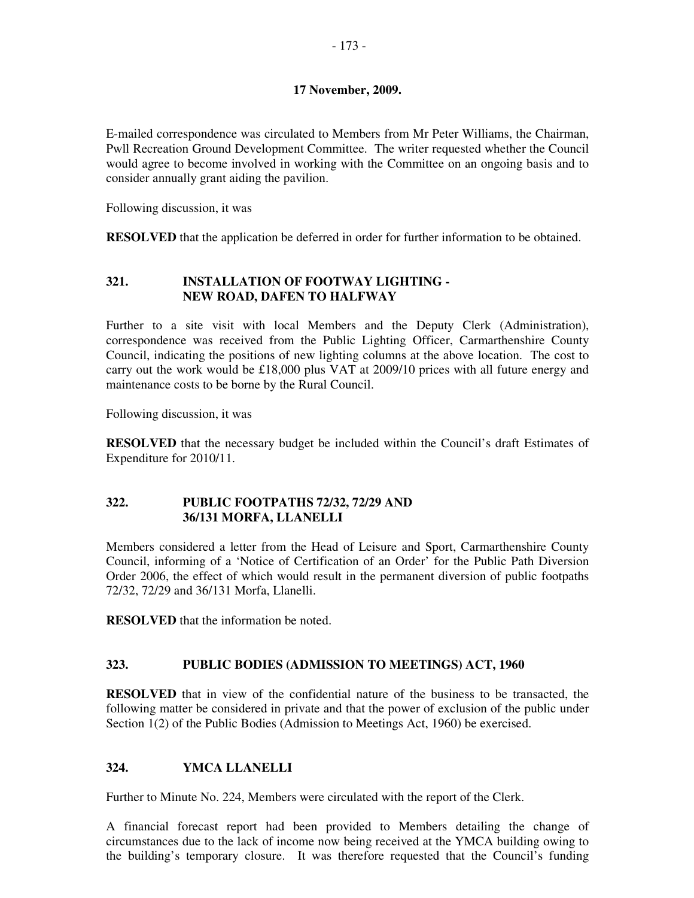E-mailed correspondence was circulated to Members from Mr Peter Williams, the Chairman, Pwll Recreation Ground Development Committee. The writer requested whether the Council would agree to become involved in working with the Committee on an ongoing basis and to consider annually grant aiding the pavilion.

Following discussion, it was

**RESOLVED** that the application be deferred in order for further information to be obtained.

## **321. INSTALLATION OF FOOTWAY LIGHTING - NEW ROAD, DAFEN TO HALFWAY**

Further to a site visit with local Members and the Deputy Clerk (Administration), correspondence was received from the Public Lighting Officer, Carmarthenshire County Council, indicating the positions of new lighting columns at the above location. The cost to carry out the work would be £18,000 plus VAT at 2009/10 prices with all future energy and maintenance costs to be borne by the Rural Council.

Following discussion, it was

**RESOLVED** that the necessary budget be included within the Council's draft Estimates of Expenditure for 2010/11.

## **322. PUBLIC FOOTPATHS 72/32, 72/29 AND 36/131 MORFA, LLANELLI**

Members considered a letter from the Head of Leisure and Sport, Carmarthenshire County Council, informing of a 'Notice of Certification of an Order' for the Public Path Diversion Order 2006, the effect of which would result in the permanent diversion of public footpaths 72/32, 72/29 and 36/131 Morfa, Llanelli.

**RESOLVED** that the information be noted.

## **323. PUBLIC BODIES (ADMISSION TO MEETINGS) ACT, 1960**

**RESOLVED** that in view of the confidential nature of the business to be transacted, the following matter be considered in private and that the power of exclusion of the public under Section 1(2) of the Public Bodies (Admission to Meetings Act, 1960) be exercised.

## **324. YMCA LLANELLI**

Further to Minute No. 224, Members were circulated with the report of the Clerk.

A financial forecast report had been provided to Members detailing the change of circumstances due to the lack of income now being received at the YMCA building owing to the building's temporary closure. It was therefore requested that the Council's funding